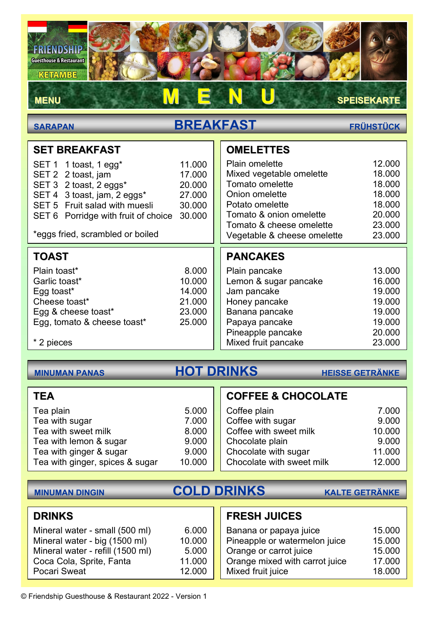FRIENDSHIP **Guesthouse & Restaurant** 

### KETAMBE

## MENU DE N U SPEISEKARTE

# SARAPAN BREAKFAST FRÜHSTÜCK

 $\overline{\phantom{a}}$ 

| <b>SET BREAKFAST</b>                                                                                                                                                                                                         |                                                          | <b>OMELETTES</b>                                                                                                                                                                                |                                                                              |
|------------------------------------------------------------------------------------------------------------------------------------------------------------------------------------------------------------------------------|----------------------------------------------------------|-------------------------------------------------------------------------------------------------------------------------------------------------------------------------------------------------|------------------------------------------------------------------------------|
| SET 1 1 toast, 1 egg <sup>*</sup><br>SET 2 2 toast, jam<br>SET 3 2 toast, 2 eggs*<br>SET 4 3 toast, jam, 2 eggs*<br>SET 5 Fruit salad with muesli<br>SET 6 Porridge with fruit of choice<br>*eggs fried, scrambled or boiled | 11.000<br>17.000<br>20.000<br>27,000<br>30.000<br>30.000 | <b>Plain omelette</b><br>Mixed vegetable omelette<br>Tomato omelette<br>Onion omelette<br>Potato omelette<br>Tomato & onion omelette<br>Tomato & cheese omelette<br>Vegetable & cheese omelette | 12.000<br>18.000<br>18.000<br>18.000<br>18.000<br>20.000<br>23.000<br>23.000 |
|                                                                                                                                                                                                                              |                                                          |                                                                                                                                                                                                 |                                                                              |
| <b>TOAST</b>                                                                                                                                                                                                                 |                                                          | <b>PANCAKES</b>                                                                                                                                                                                 |                                                                              |
| Plain toast*                                                                                                                                                                                                                 | 8.000                                                    | Plain pancake                                                                                                                                                                                   | 13.000                                                                       |
| Garlic toast*                                                                                                                                                                                                                | 10.000                                                   | Lemon & sugar pancake                                                                                                                                                                           | 16.000                                                                       |
| Egg toast*                                                                                                                                                                                                                   | 14.000                                                   | Jam pancake                                                                                                                                                                                     | 19.000                                                                       |
| Cheese toast*                                                                                                                                                                                                                | 21.000                                                   | Honey pancake                                                                                                                                                                                   | 19.000                                                                       |
| Egg & cheese toast*                                                                                                                                                                                                          | 23.000                                                   | Banana pancake                                                                                                                                                                                  | 19.000                                                                       |
| Egg, tomato & cheese toast*                                                                                                                                                                                                  | 25.000                                                   | Papaya pancake                                                                                                                                                                                  | 19.000                                                                       |
|                                                                                                                                                                                                                              |                                                          | Pineapple pancake                                                                                                                                                                               | 20.000                                                                       |
| * 2 pieces                                                                                                                                                                                                                   |                                                          | Mixed fruit pancake                                                                                                                                                                             | 23.000                                                                       |

# MINUMAN PANAS HOT DRINKS HEISSE GETRÄNKE

### **TEA**

| Tea plain                       | 5.000  |
|---------------------------------|--------|
| Tea with sugar                  | 7.000  |
| Tea with sweet milk             | 8.000  |
| Tea with lemon & sugar          | 9.000  |
| Tea with ginger & sugar         | 9.000  |
| Tea with ginger, spices & sugar | 10.000 |

## COFFEE & CHOCOLATE

| 7.000  |
|--------|
| 9.000  |
| 10.000 |
| 9.000  |
| 11.000 |
| 12.000 |
|        |

# MINUMAN DINGIN COLD DRINKS KALTE GETRÄNKE

### DRINKS

| Mineral water - small (500 ml)   | 6.000  |
|----------------------------------|--------|
| Mineral water - big (1500 ml)    | 10.000 |
| Mineral water - refill (1500 ml) | 5.000  |
| Coca Cola, Sprite, Fanta         | 11.000 |
| Pocari Sweat                     | 12.000 |

## FRESH JUICES

| Banana or papaya juice         | 15.000 |
|--------------------------------|--------|
| Pineapple or watermelon juice  | 15.000 |
| Orange or carrot juice         | 15.000 |
| Orange mixed with carrot juice | 17.000 |
| Mixed fruit juice              | 18.000 |